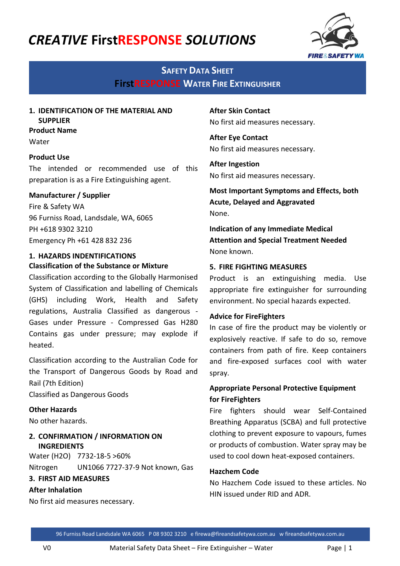# *CREATIVE* **FirstRESPONSE** *SOLUTIONS*



# **SAFETY DATA SHEET FirstRESPONSE WATER FIRE EXTINGUISHER**

# **1. IDENTIFICATION OF THE MATERIAL AND SUPPLIER**

#### **Product Name**

Water

#### **Product Use**

The intended or recommended use of this preparation is as a Fire Extinguishing agent.

#### **Manufacturer / Supplier**

Fire & Safety WA 96 Furniss Road, Landsdale, WA, 6065 PH +618 9302 3210 Emergency Ph +61 428 832 236

#### **1. HAZARDS INDENTIFICATIONS Classification of the Substance or Mixture**

Classification according to the Globally Harmonised System of Classification and labelling of Chemicals (GHS) including Work, Health and Safety regulations, Australia Classified as dangerous - Gases under Pressure - Compressed Gas H280 Contains gas under pressure; may explode if heated.

Classification according to the Australian Code for the Transport of Dangerous Goods by Road and Rail (7th Edition)

Classified as Dangerous Goods

#### **Other Hazards**

No other hazards.

# **2. CONFIRMATION / INFORMATION ON INGREDIENTS**

Water (H2O) 7732-18-5 >60% Nitrogen UN1066 7727-37-9 Not known, Gas

# **3. FIRST AID MEASURES**

#### **After Inhalation**

No first aid measures necessary.

**After Skin Contact** No first aid measures necessary.

**After Eye Contact** No first aid measures necessary.

**After Ingestion** No first aid measures necessary.

**Most Important Symptoms and Effects, both Acute, Delayed and Aggravated** None.

**Indication of any Immediate Medical Attention and Special Treatment Needed** None known.

#### **5. FIRE FIGHTING MEASURES**

Product is an extinguishing media. Use appropriate fire extinguisher for surrounding environment. No special hazards expected.

#### **Advice for FireFighters**

In case of fire the product may be violently or explosively reactive. If safe to do so, remove containers from path of fire. Keep containers and fire-exposed surfaces cool with water spray.

# **Appropriate Personal Protective Equipment for FireFighters**

Fire fighters should wear Self-Contained Breathing Apparatus (SCBA) and full protective clothing to prevent exposure to vapours, fumes or products of combustion. Water spray may be used to cool down heat-exposed containers.

#### **Hazchem Code**

No Hazchem Code issued to these articles. No HIN issued under RID and ADR.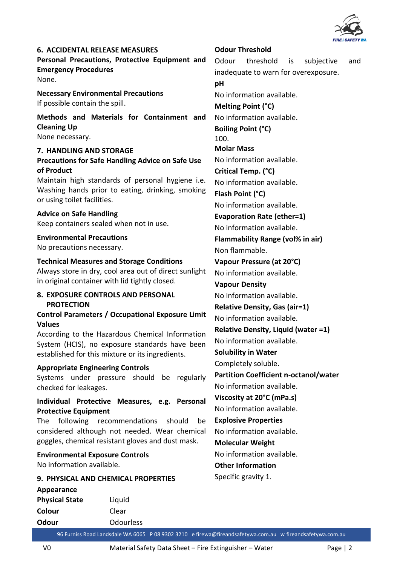

**6. ACCIDENTAL RELEASE MEASURES Personal Precautions, Protective Equipment and Emergency Procedures** None.

**Necessary Environmental Precautions** If possible contain the spill.

**Methods and Materials for Containment and Cleaning Up**

None necessary.

#### **7. HANDLING AND STORAGE Precautions for Safe Handling Advice on Safe Use of Product**

Maintain high standards of personal hygiene i.e. Washing hands prior to eating, drinking, smoking or using toilet facilities.

**Advice on Safe Handling** Keep containers sealed when not in use.

**Environmental Precautions** No precautions necessary.

#### **Technical Measures and Storage Conditions**

Always store in dry, cool area out of direct sunlight in original container with lid tightly closed.

#### **8. EXPOSURE CONTROLS AND PERSONAL PROTECTION**

**Control Parameters / Occupational Exposure Limit Values**

According to the Hazardous Chemical Information System (HCIS), no exposure standards have been established for this mixture or its ingredients.

#### **Appropriate Engineering Controls**

Systems under pressure should be regularly checked for leakages.

#### **Individual Protective Measures, e.g. Personal Protective Equipment**

The following recommendations should be considered although not needed. Wear chemical goggles, chemical resistant gloves and dust mask.

**Environmental Exposure Controls** No information available.

#### **9. PHYSICAL AND CHEMICAL PROPERTIES**

**Appearance Physical State** Liquid **Colour** Clear **Odour** Odourless Odour threshold is subjective and inadequate to warn for overexposure. **pH** No information available. **Melting Point (°C)** No information available. **Boiling Point (°C)** 100. **Molar Mass** No information available. **Critical Temp. (°C)** No information available. **Flash Point (°C)** No information available. **Evaporation Rate (ether=1)** No information available. **Flammability Range (vol% in air)** Non flammable. **Vapour Pressure (at 20°C)** No information available. **Vapour Density** No information available. **Relative Density, Gas (air=1)** No information available. **Relative Density, Liquid (water =1)** No information available. **Solubility in Water** Completely soluble. **Partition Coefficient n-octanol/water** No information available. **Viscosity at 20°C (mPa.s)** No information available. **Explosive Properties** No information available. **Molecular Weight** No information available. **Other Information**

**Odour Threshold**

Specific gravity 1.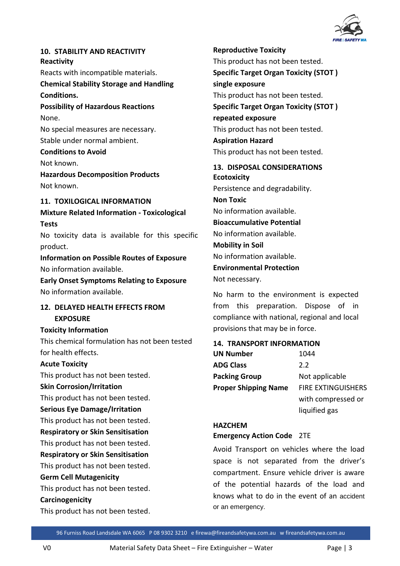

### **10. STABILITY AND REACTIVITY Reactivity**

Reacts with incompatible materials.

**Chemical Stability Storage and Handling Conditions.**

**Possibility of Hazardous Reactions** None.

No special measures are necessary. Stable under normal ambient.

# **Conditions to Avoid**

Not known.

**Hazardous Decomposition Products** Not known.

# **11. TOXILOGICAL INFORMATION**

**Mixture Related Information - Toxicological Tests**

No toxicity data is available for this specific product.

**Information on Possible Routes of Exposure** No information available.

**Early Onset Symptoms Relating to Exposure** No information available.

### **12. DELAYED HEALTH EFFECTS FROM EXPOSURE**

**Toxicity Information** This chemical formulation has not been tested for health effects.

#### **Acute Toxicity**

This product has not been tested.

#### **Skin Corrosion/Irritation**

This product has not been tested.

#### **Serious Eye Damage/Irritation**

This product has not been tested.

**Respiratory or Skin Sensitisation**

This product has not been tested.

**Respiratory or Skin Sensitisation**

This product has not been tested.

# **Germ Cell Mutagenicity**

This product has not been tested.

#### **Carcinogenicity**

This product has not been tested.

**Reproductive Toxicity** This product has not been tested. **Specific Target Organ Toxicity (STOT ) single exposure** This product has not been tested. **Specific Target Organ Toxicity (STOT ) repeated exposure** This product has not been tested. **Aspiration Hazard** This product has not been tested.

**13. DISPOSAL CONSIDERATIONS Ecotoxicity** Persistence and degradability. **Non Toxic** No information available. **Bioaccumulative Potential** No information available. **Mobility in Soil** No information available. **Environmental Protection** Not necessary.

No harm to the environment is expected from this preparation. Dispose of in compliance with national, regional and local provisions that may be in force.

#### **14. TRANSPORT INFORMATION**

| <b>UN Number</b>            | 1044                      |
|-----------------------------|---------------------------|
| <b>ADG Class</b>            | 2.2                       |
| <b>Packing Group</b>        | Not applicable            |
| <b>Proper Shipping Name</b> | <b>FIRE EXTINGUISHERS</b> |
|                             | with compressed or        |
|                             | liquified gas             |

# **HAZCHEM**

#### **Emergency Action Code** 2TE

Avoid Transport on vehicles where the load space is not separated from the driver's compartment. Ensure vehicle driver is aware of the potential hazards of the load and knows what to do in the event of an accident or an emergency.